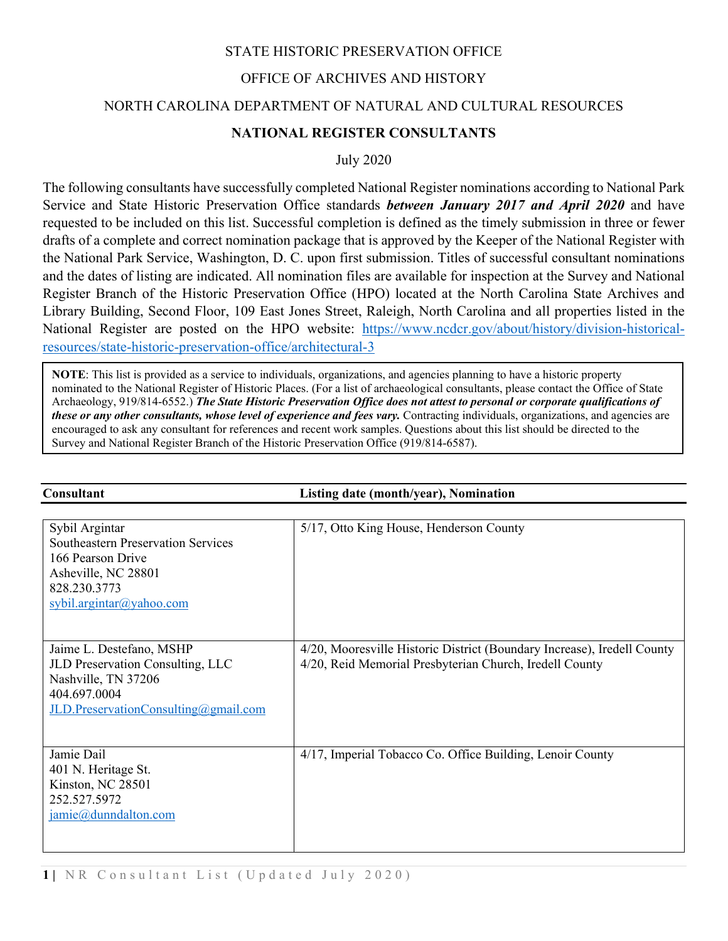## STATE HISTORIC PRESERVATION OFFICE

# OFFICE OF ARCHIVES AND HISTORY

#### NORTH CAROLINA DEPARTMENT OF NATURAL AND CULTURAL RESOURCES

## **NATIONAL REGISTER CONSULTANTS**

July 2020

The following consultants have successfully completed National Register nominations according to National Park Service and State Historic Preservation Office standards *between January 2017 and April 2020* and have requested to be included on this list. Successful completion is defined as the timely submission in three or fewer drafts of a complete and correct nomination package that is approved by the Keeper of the National Register with the National Park Service, Washington, D. C. upon first submission. Titles of successful consultant nominations and the dates of listing are indicated. All nomination files are available for inspection at the Survey and National Register Branch of the Historic Preservation Office (HPO) located at the North Carolina State Archives and Library Building, Second Floor, 109 East Jones Street, Raleigh, North Carolina and all properties listed in the National Register are posted on the HPO website: [https://www.ncdcr.gov/about/history/division-historical](https://www.ncdcr.gov/about/history/division-historical-resources/state-historic-preservation-office/architectural-3)[resources/state-historic-preservation-office/architectural-3](https://www.ncdcr.gov/about/history/division-historical-resources/state-historic-preservation-office/architectural-3)

**NOTE**: This list is provided as a service to individuals, organizations, and agencies planning to have a historic property nominated to the National Register of Historic Places. (For a list of archaeological consultants, please contact the Office of State Archaeology, 919/814-6552.) *The State Historic Preservation Office does not attest to personal or corporate qualifications of these or any other consultants, whose level of experience and fees vary.* Contracting individuals, organizations, and agencies are encouraged to ask any consultant for references and recent work samples. Questions about this list should be directed to the Survey and National Register Branch of the Historic Preservation Office (919/814-6587).

| Consultant                                                                                                                                             | Listing date (month/year), Nomination                                                                                              |
|--------------------------------------------------------------------------------------------------------------------------------------------------------|------------------------------------------------------------------------------------------------------------------------------------|
| Sybil Argintar<br><b>Southeastern Preservation Services</b><br>166 Pearson Drive<br>Asheville, NC 28801<br>828.230.3773<br>$s$ ybil.argintar@yahoo.com | 5/17, Otto King House, Henderson County                                                                                            |
| Jaime L. Destefano, MSHP<br>JLD Preservation Consulting, LLC<br>Nashville, TN 37206<br>404.697.0004<br>JLD.PreservationConsulting@gmail.com            | 4/20, Mooresville Historic District (Boundary Increase), Iredell County<br>4/20, Reid Memorial Presbyterian Church, Iredell County |
| Jamie Dail<br>401 N. Heritage St.<br>Kinston, NC 28501<br>252.527.5972<br>$jamie(\omega)$ dunndalton.com                                               | 4/17, Imperial Tobacco Co. Office Building, Lenoir County                                                                          |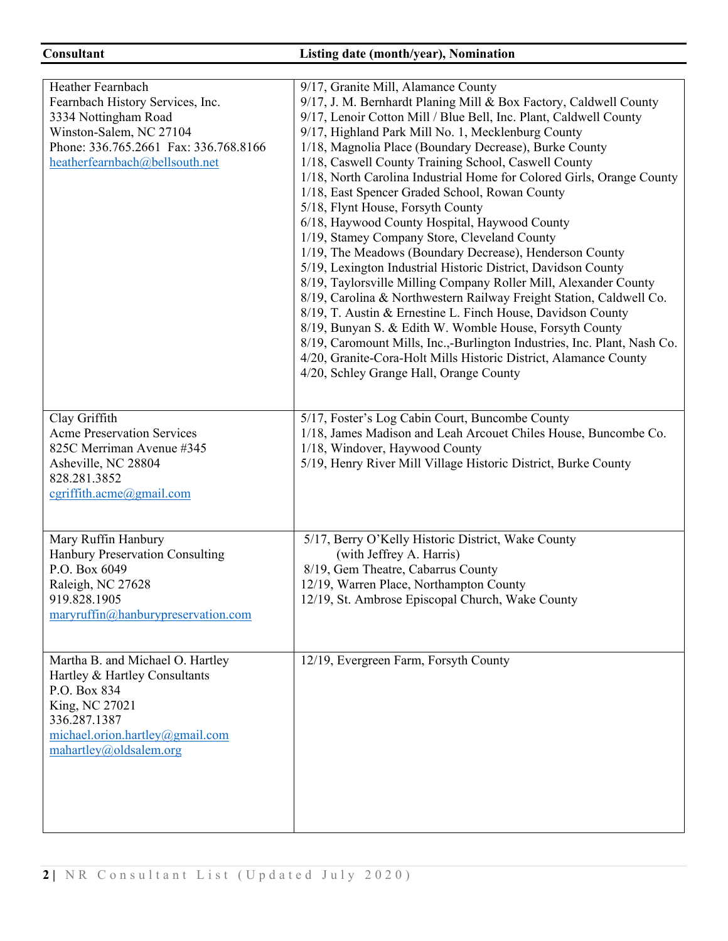# **Consultant Listing date (month/year), Nomination**

| Heather Fearnbach<br>Fearnbach History Services, Inc.<br>3334 Nottingham Road<br>Winston-Salem, NC 27104<br>Phone: 336.765.2661 Fax: 336.768.8166<br>heatherfearnbach@bellsouth.net | 9/17, Granite Mill, Alamance County<br>9/17, J. M. Bernhardt Planing Mill & Box Factory, Caldwell County<br>9/17, Lenoir Cotton Mill / Blue Bell, Inc. Plant, Caldwell County<br>9/17, Highland Park Mill No. 1, Mecklenburg County<br>1/18, Magnolia Place (Boundary Decrease), Burke County<br>1/18, Caswell County Training School, Caswell County<br>1/18, North Carolina Industrial Home for Colored Girls, Orange County<br>1/18, East Spencer Graded School, Rowan County<br>5/18, Flynt House, Forsyth County<br>6/18, Haywood County Hospital, Haywood County<br>1/19, Stamey Company Store, Cleveland County<br>1/19, The Meadows (Boundary Decrease), Henderson County<br>5/19, Lexington Industrial Historic District, Davidson County<br>8/19, Taylorsville Milling Company Roller Mill, Alexander County<br>8/19, Carolina & Northwestern Railway Freight Station, Caldwell Co.<br>8/19, T. Austin & Ernestine L. Finch House, Davidson County<br>8/19, Bunyan S. & Edith W. Womble House, Forsyth County<br>8/19, Caromount Mills, Inc.,-Burlington Industries, Inc. Plant, Nash Co.<br>4/20, Granite-Cora-Holt Mills Historic District, Alamance County<br>4/20, Schley Grange Hall, Orange County |
|-------------------------------------------------------------------------------------------------------------------------------------------------------------------------------------|--------------------------------------------------------------------------------------------------------------------------------------------------------------------------------------------------------------------------------------------------------------------------------------------------------------------------------------------------------------------------------------------------------------------------------------------------------------------------------------------------------------------------------------------------------------------------------------------------------------------------------------------------------------------------------------------------------------------------------------------------------------------------------------------------------------------------------------------------------------------------------------------------------------------------------------------------------------------------------------------------------------------------------------------------------------------------------------------------------------------------------------------------------------------------------------------------------------------|
| Clay Griffith<br><b>Acme Preservation Services</b><br>825C Merriman Avenue #345<br>Asheville, NC 28804<br>828.281.3852<br>$c$ griffith.acme@gmail.com                               | 5/17, Foster's Log Cabin Court, Buncombe County<br>1/18, James Madison and Leah Arcouet Chiles House, Buncombe Co.<br>1/18, Windover, Haywood County<br>5/19, Henry River Mill Village Historic District, Burke County                                                                                                                                                                                                                                                                                                                                                                                                                                                                                                                                                                                                                                                                                                                                                                                                                                                                                                                                                                                             |
| Mary Ruffin Hanbury<br><b>Hanbury Preservation Consulting</b><br>P.O. Box 6049<br>Raleigh, NC 27628<br>919.828.1905<br>maryruffin@hanburypreservation.com                           | 5/17, Berry O'Kelly Historic District, Wake County<br>(with Jeffrey A. Harris)<br>8/19, Gem Theatre, Cabarrus County<br>12/19, Warren Place, Northampton County<br>12/19, St. Ambrose Episcopal Church, Wake County                                                                                                                                                                                                                                                                                                                                                                                                                                                                                                                                                                                                                                                                                                                                                                                                                                                                                                                                                                                                |
| Martha B. and Michael O. Hartley<br>Hartley & Hartley Consultants<br>P.O. Box 834<br>King, NC 27021<br>336.287.1387<br>michael.orion.hartley@gmail.com<br>mahartley@oldsalem.org    | 12/19, Evergreen Farm, Forsyth County                                                                                                                                                                                                                                                                                                                                                                                                                                                                                                                                                                                                                                                                                                                                                                                                                                                                                                                                                                                                                                                                                                                                                                              |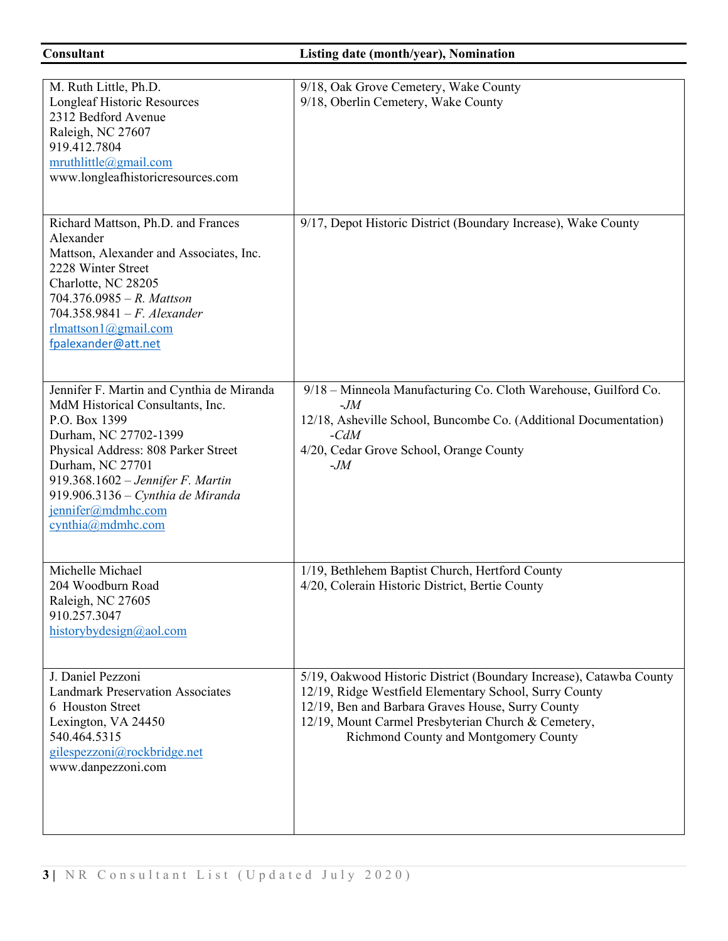**Consultant Listing date (month/year), Nomination** 

| M. Ruth Little, Ph.D.<br>Longleaf Historic Resources<br>2312 Bedford Avenue<br>Raleigh, NC 27607<br>919.412.7804<br>mruthlittle@gmail.com<br>www.longleafhistoricresources.com                                                                                                                          | 9/18, Oak Grove Cemetery, Wake County<br>9/18, Oberlin Cemetery, Wake County                                                                                                                                                                                                       |
|---------------------------------------------------------------------------------------------------------------------------------------------------------------------------------------------------------------------------------------------------------------------------------------------------------|------------------------------------------------------------------------------------------------------------------------------------------------------------------------------------------------------------------------------------------------------------------------------------|
| Richard Mattson, Ph.D. and Frances<br>Alexander<br>Mattson, Alexander and Associates, Inc.<br>2228 Winter Street<br>Charlotte, NC 28205<br>704.376.0985 - R. Mattson<br>704.358.9841 - F. Alexander<br>$r$ lmattson1@gmail.com<br>fpalexander@att.net                                                   | 9/17, Depot Historic District (Boundary Increase), Wake County                                                                                                                                                                                                                     |
| Jennifer F. Martin and Cynthia de Miranda<br>MdM Historical Consultants, Inc.<br>P.O. Box 1399<br>Durham, NC 27702-1399<br>Physical Address: 808 Parker Street<br>Durham, NC 27701<br>919.368.1602 - Jennifer F. Martin<br>919.906.3136 - Cynthia de Miranda<br>jennifer@mdmhc.com<br>cynthia@mdmhc.com | 9/18 - Minneola Manufacturing Co. Cloth Warehouse, Guilford Co.<br>$-M$<br>12/18, Asheville School, Buncombe Co. (Additional Documentation)<br>$-cdM$<br>4/20, Cedar Grove School, Orange County<br>$-M$                                                                           |
| Michelle Michael<br>204 Woodburn Road<br>Raleigh, NC 27605<br>910.257.3047<br>historybydesign@aol.com                                                                                                                                                                                                   | 1/19, Bethlehem Baptist Church, Hertford County<br>4/20, Colerain Historic District, Bertie County                                                                                                                                                                                 |
| J. Daniel Pezzoni<br><b>Landmark Preservation Associates</b><br>6 Houston Street<br>Lexington, VA 24450<br>540.464.5315<br>gilespezzoni@rockbridge.net<br>www.danpezzoni.com                                                                                                                            | 5/19, Oakwood Historic District (Boundary Increase), Catawba County<br>12/19, Ridge Westfield Elementary School, Surry County<br>12/19, Ben and Barbara Graves House, Surry County<br>12/19, Mount Carmel Presbyterian Church & Cemetery,<br>Richmond County and Montgomery County |